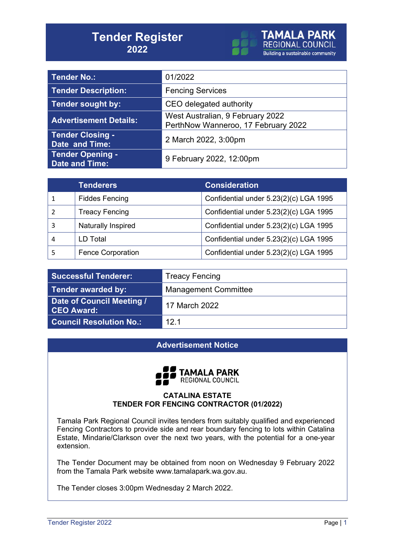# **Tender Register 2022**



| <b>Tender No.:</b>                               | 01/2022                                                                 |
|--------------------------------------------------|-------------------------------------------------------------------------|
| <b>Tender Description:</b>                       | <b>Fencing Services</b>                                                 |
| <b>Tender sought by:</b>                         | CEO delegated authority                                                 |
| <b>Advertisement Details:</b>                    | West Australian, 9 February 2022<br>PerthNow Wanneroo, 17 February 2022 |
| <b>Tender Closing -</b><br>Date and Time:        | 2 March 2022, 3:00pm                                                    |
| <b>Tender Opening -</b><br><b>Date and Time:</b> | 9 February 2022, 12:00pm                                                |

| <b>Tenderers</b>         | <b>Consideration</b>                   |
|--------------------------|----------------------------------------|
| <b>Fiddes Fencing</b>    | Confidential under 5.23(2)(c) LGA 1995 |
| <b>Treacy Fencing</b>    | Confidential under 5.23(2)(c) LGA 1995 |
| Naturally Inspired       | Confidential under 5.23(2)(c) LGA 1995 |
| LD Total                 | Confidential under 5.23(2)(c) LGA 1995 |
| <b>Fence Corporation</b> | Confidential under 5.23(2)(c) LGA 1995 |

| <b>Successful Tenderer:</b>                    | <b>Treacy Fencing</b>       |
|------------------------------------------------|-----------------------------|
| Tender awarded by:                             | <b>Management Committee</b> |
| Date of Council Meeting /<br><b>CEO Award:</b> | 17 March 2022               |
| <b>Council Resolution No.:</b>                 | 12 <sub>1</sub>             |

### **Advertisement Notice**



#### **CATALINA ESTATE TENDER FOR FENCING CONTRACTOR (01/2022)**

Tamala Park Regional Council invites tenders from suitably qualified and experienced Fencing Contractors to provide side and rear boundary fencing to lots within Catalina Estate, Mindarie/Clarkson over the next two years, with the potential for a one-year extension.

The Tender Document may be obtained from noon on Wednesday 9 February 2022 from the Tamala Park website www.tamalapark.wa.gov.au.

The Tender closes 3:00pm Wednesday 2 March 2022.